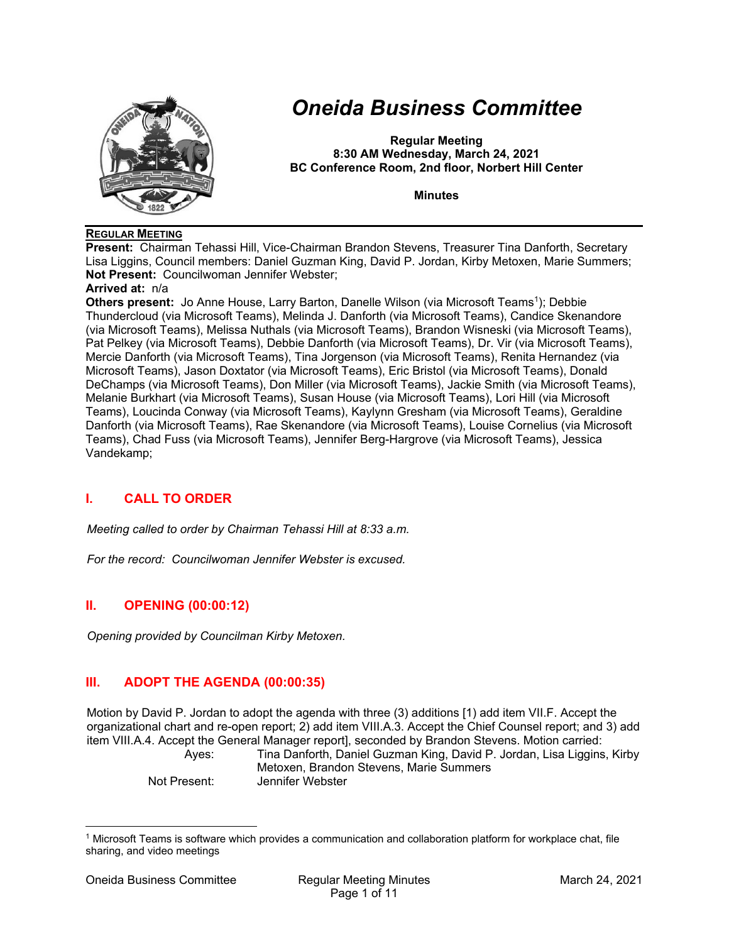

# *Oneida Business Committee*

**Regular Meeting 8:30 AM Wednesday, March 24, 2021 BC Conference Room, 2nd floor, Norbert Hill Center** 

**Minutes** 

## **REGULAR MEETING**

**Present:** Chairman Tehassi Hill, Vice-Chairman Brandon Stevens, Treasurer Tina Danforth, Secretary Lisa Liggins, Council members: Daniel Guzman King, David P. Jordan, Kirby Metoxen, Marie Summers; **Not Present:** Councilwoman Jennifer Webster;

## **Arrived at:** n/a

**Others present:** Jo Anne House, Larry Barton, Danelle Wilson (via Microsoft Teams<sup>1</sup>); Debbie Thundercloud (via Microsoft Teams), Melinda J. Danforth (via Microsoft Teams), Candice Skenandore (via Microsoft Teams), Melissa Nuthals (via Microsoft Teams), Brandon Wisneski (via Microsoft Teams), Pat Pelkey (via Microsoft Teams), Debbie Danforth (via Microsoft Teams), Dr. Vir (via Microsoft Teams), Mercie Danforth (via Microsoft Teams), Tina Jorgenson (via Microsoft Teams), Renita Hernandez (via Microsoft Teams), Jason Doxtator (via Microsoft Teams), Eric Bristol (via Microsoft Teams), Donald DeChamps (via Microsoft Teams), Don Miller (via Microsoft Teams), Jackie Smith (via Microsoft Teams), Melanie Burkhart (via Microsoft Teams), Susan House (via Microsoft Teams), Lori Hill (via Microsoft Teams), Loucinda Conway (via Microsoft Teams), Kaylynn Gresham (via Microsoft Teams), Geraldine Danforth (via Microsoft Teams), Rae Skenandore (via Microsoft Teams), Louise Cornelius (via Microsoft Teams), Chad Fuss (via Microsoft Teams), Jennifer Berg-Hargrove (via Microsoft Teams), Jessica Vandekamp;

# **I. CALL TO ORDER**

*Meeting called to order by Chairman Tehassi Hill at 8:33 a.m.* 

*For the record: Councilwoman Jennifer Webster is excused.* 

# **II. OPENING (00:00:12)**

*Opening provided by Councilman Kirby Metoxen.* 

# **III. ADOPT THE AGENDA (00:00:35)**

Motion by David P. Jordan to adopt the agenda with three (3) additions [1) add item VII.F. Accept the organizational chart and re-open report; 2) add item VIII.A.3. Accept the Chief Counsel report; and 3) add item VIII.A.4. Accept the General Manager report], seconded by Brandon Stevens. Motion carried: Ayes: Tina Danforth, Daniel Guzman King, David P. Jordan, Lisa Liggins, Kirby Metoxen, Brandon Stevens, Marie Summers

Not Present: Jennifer Webster

<sup>1</sup> Microsoft Teams is software which provides a communication and collaboration platform for workplace chat, file sharing, and video meetings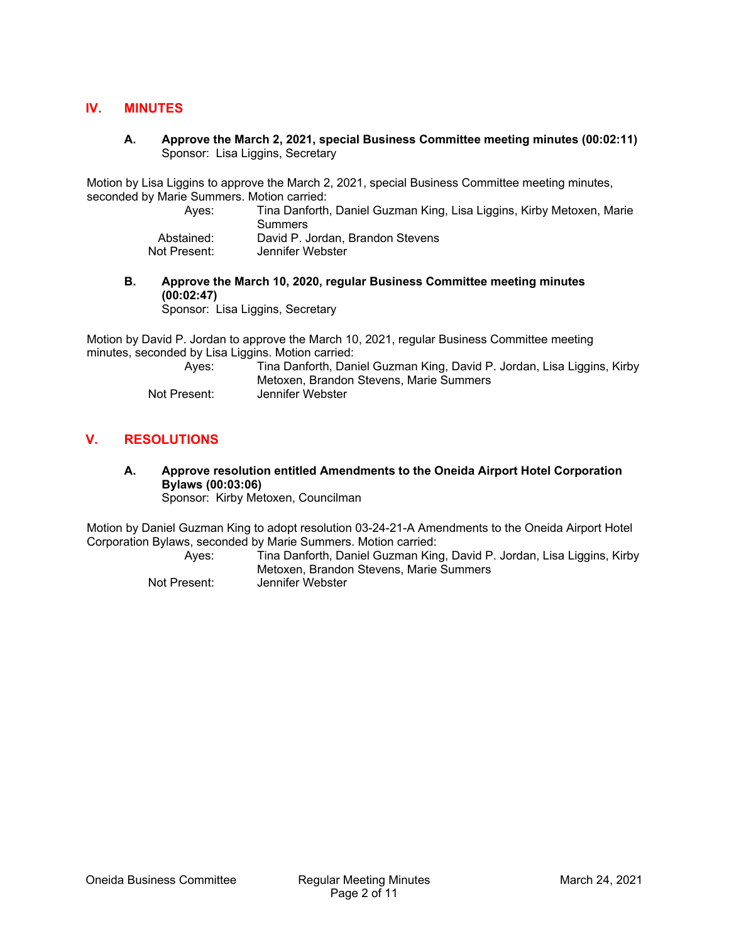## **IV. MINUTES**

**A. Approve the March 2, 2021, special Business Committee meeting minutes (00:02:11)**  Sponsor: Lisa Liggins, Secretary

Motion by Lisa Liggins to approve the March 2, 2021, special Business Committee meeting minutes, seconded by Marie Summers. Motion carried:

- Ayes: Tina Danforth, Daniel Guzman King, Lisa Liggins, Kirby Metoxen, Marie Summers Abstained: David P. Jordan, Brandon Stevens Not Present: Jennifer Webster
- **B. Approve the March 10, 2020, regular Business Committee meeting minutes (00:02:47)**

Sponsor: Lisa Liggins, Secretary

Motion by David P. Jordan to approve the March 10, 2021, regular Business Committee meeting minutes, seconded by Lisa Liggins. Motion carried:

Tina Danforth, Daniel Guzman King, David P. Jordan, Lisa Liggins, Kirby Metoxen, Brandon Stevens, Marie Summers Not Present: Jennifer Webster

# **V. RESOLUTIONS**

# **A. Approve resolution entitled Amendments to the Oneida Airport Hotel Corporation Bylaws (00:03:06)**

Sponsor: Kirby Metoxen, Councilman

Motion by Daniel Guzman King to adopt resolution 03-24-21-A Amendments to the Oneida Airport Hotel Corporation Bylaws, seconded by Marie Summers. Motion carried:

 Ayes: Tina Danforth, Daniel Guzman King, David P. Jordan, Lisa Liggins, Kirby Metoxen, Brandon Stevens, Marie Summers Not Present: Jennifer Webster

Oneida Business Committee Regular Meeting Minutes March 24, 2021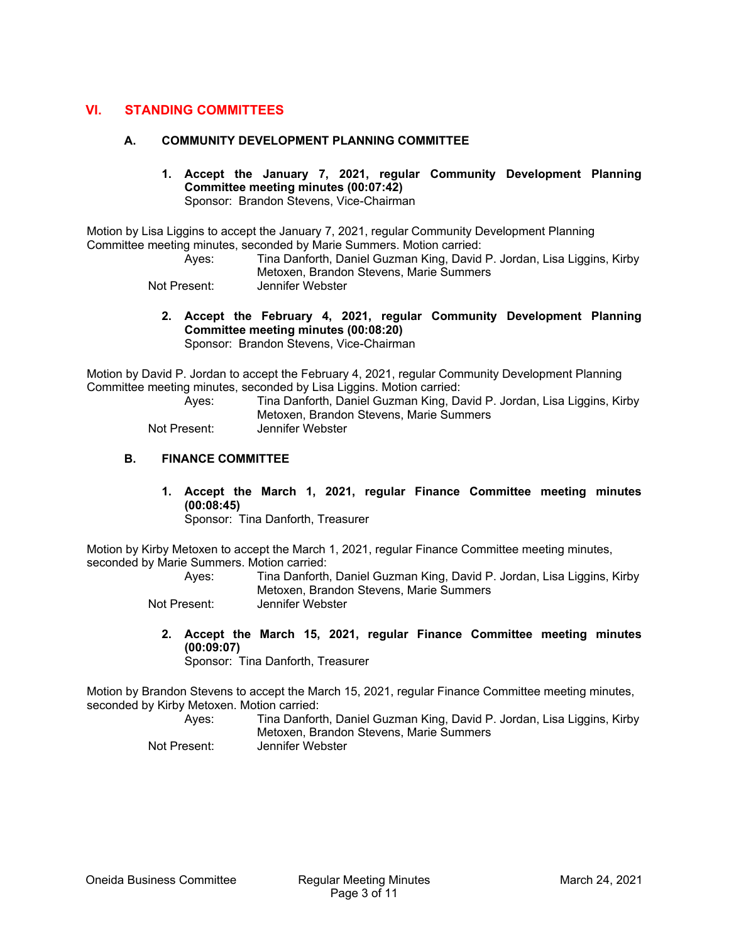## **VI. STANDING COMMITTEES**

#### **A. COMMUNITY DEVELOPMENT PLANNING COMMITTEE**

**1. Accept the January 7, 2021, regular Community Development Planning Committee meeting minutes (00:07:42)**  Sponsor: Brandon Stevens, Vice-Chairman

Motion by Lisa Liggins to accept the January 7, 2021, regular Community Development Planning Committee meeting minutes, seconded by Marie Summers. Motion carried:

 Ayes: Tina Danforth, Daniel Guzman King, David P. Jordan, Lisa Liggins, Kirby Metoxen, Brandon Stevens, Marie Summers

Not Present: Jennifer Webster

**2. Accept the February 4, 2021, regular Community Development Planning Committee meeting minutes (00:08:20)**  Sponsor: Brandon Stevens, Vice-Chairman

Motion by David P. Jordan to accept the February 4, 2021, regular Community Development Planning Committee meeting minutes, seconded by Lisa Liggins. Motion carried:

 Ayes: Tina Danforth, Daniel Guzman King, David P. Jordan, Lisa Liggins, Kirby Metoxen, Brandon Stevens, Marie Summers Not Present: Jennifer Webster

## **B. FINANCE COMMITTEE**

**1. Accept the March 1, 2021, regular Finance Committee meeting minutes (00:08:45)** 

Sponsor: Tina Danforth, Treasurer

Motion by Kirby Metoxen to accept the March 1, 2021, regular Finance Committee meeting minutes, seconded by Marie Summers. Motion carried:

 Ayes: Tina Danforth, Daniel Guzman King, David P. Jordan, Lisa Liggins, Kirby Metoxen, Brandon Stevens, Marie Summers Not Present: Jennifer Webster

**2. Accept the March 15, 2021, regular Finance Committee meeting minutes (00:09:07)**  Sponsor: Tina Danforth, Treasurer

Motion by Brandon Stevens to accept the March 15, 2021, regular Finance Committee meeting minutes, seconded by Kirby Metoxen. Motion carried:

 Ayes: Tina Danforth, Daniel Guzman King, David P. Jordan, Lisa Liggins, Kirby Metoxen, Brandon Stevens, Marie Summers Not Present: Jennifer Webster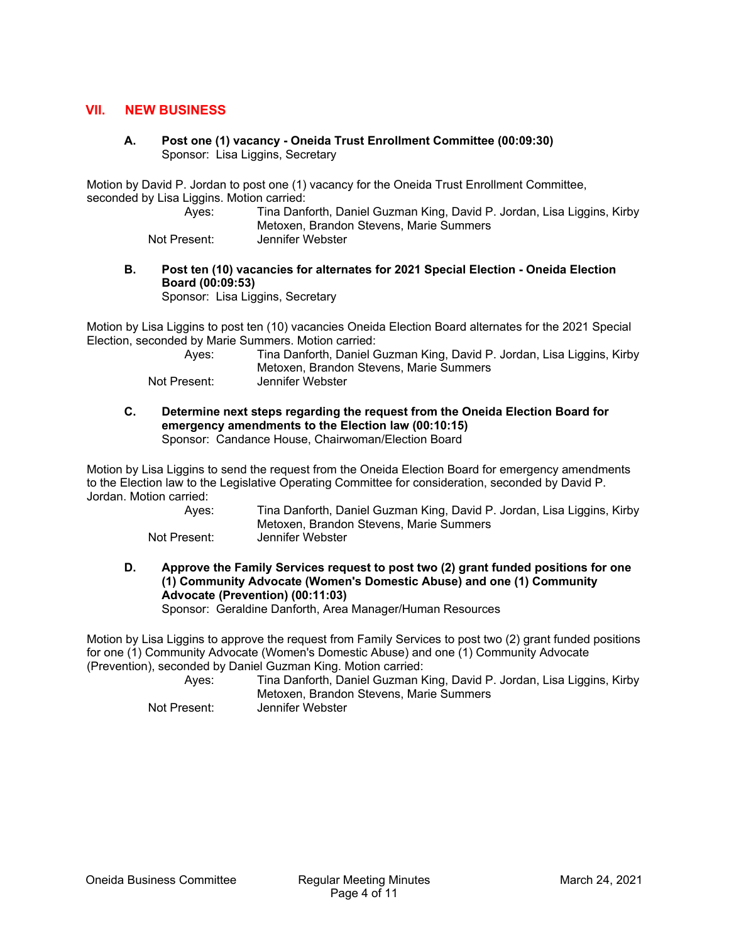## **VII. NEW BUSINESS**

**A. Post one (1) vacancy - Oneida Trust Enrollment Committee (00:09:30)**  Sponsor: Lisa Liggins, Secretary

Motion by David P. Jordan to post one (1) vacancy for the Oneida Trust Enrollment Committee, seconded by Lisa Liggins. Motion carried:

 Ayes: Tina Danforth, Daniel Guzman King, David P. Jordan, Lisa Liggins, Kirby Metoxen, Brandon Stevens, Marie Summers

Not Present: Jennifer Webster

**B. Post ten (10) vacancies for alternates for 2021 Special Election - Oneida Election Board (00:09:53)** 

Sponsor: Lisa Liggins, Secretary

Motion by Lisa Liggins to post ten (10) vacancies Oneida Election Board alternates for the 2021 Special Election, seconded by Marie Summers. Motion carried:

| Aves:        | Tina Danforth, Daniel Guzman King, David P. Jordan, Lisa Liggins, Kirby |
|--------------|-------------------------------------------------------------------------|
|              | Metoxen, Brandon Stevens, Marie Summers                                 |
| Not Present: | Jennifer Webster                                                        |

**C. Determine next steps regarding the request from the Oneida Election Board for emergency amendments to the Election law (00:10:15)**  Sponsor: Candance House, Chairwoman/Election Board

Motion by Lisa Liggins to send the request from the Oneida Election Board for emergency amendments to the Election law to the Legislative Operating Committee for consideration, seconded by David P. Jordan. Motion carried:

| Aves:        | Tina Danforth, Daniel Guzman King, David P. Jordan, Lisa Liggins, Kirby |
|--------------|-------------------------------------------------------------------------|
|              | Metoxen, Brandon Stevens, Marie Summers                                 |
| Not Present: | Jennifer Webster                                                        |

**D. Approve the Family Services request to post two (2) grant funded positions for one (1) Community Advocate (Women's Domestic Abuse) and one (1) Community Advocate (Prevention) (00:11:03)** 

Sponsor: Geraldine Danforth, Area Manager/Human Resources

Motion by Lisa Liggins to approve the request from Family Services to post two (2) grant funded positions for one (1) Community Advocate (Women's Domestic Abuse) and one (1) Community Advocate (Prevention), seconded by Daniel Guzman King. Motion carried:

 Ayes: Tina Danforth, Daniel Guzman King, David P. Jordan, Lisa Liggins, Kirby Metoxen, Brandon Stevens, Marie Summers Not Present: Jennifer Webster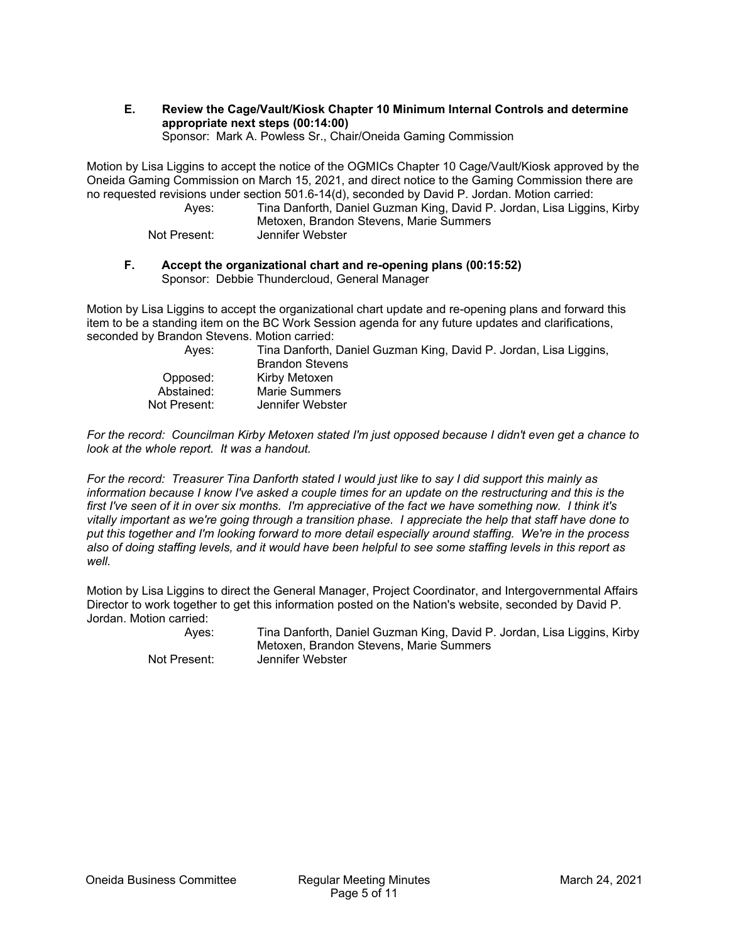# **E. Review the Cage/Vault/Kiosk Chapter 10 Minimum Internal Controls and determine appropriate next steps (00:14:00)**

Sponsor: Mark A. Powless Sr., Chair/Oneida Gaming Commission

Motion by Lisa Liggins to accept the notice of the OGMICs Chapter 10 Cage/Vault/Kiosk approved by the Oneida Gaming Commission on March 15, 2021, and direct notice to the Gaming Commission there are no requested revisions under section 501.6-14(d), seconded by David P. Jordan. Motion carried:

 Ayes: Tina Danforth, Daniel Guzman King, David P. Jordan, Lisa Liggins, Kirby Metoxen, Brandon Stevens, Marie Summers Not Present: Jennifer Webster

#### **F. Accept the organizational chart and re-opening plans (00:15:52)**  Sponsor: Debbie Thundercloud, General Manager

Motion by Lisa Liggins to accept the organizational chart update and re-opening plans and forward this item to be a standing item on the BC Work Session agenda for any future updates and clarifications, seconded by Brandon Stevens. Motion carried:

| Aves:        | Tina Danforth, Daniel Guzman King, David P. Jordan, Lisa Liggins,<br><b>Brandon Stevens</b> |
|--------------|---------------------------------------------------------------------------------------------|
| Opposed:     | Kirby Metoxen                                                                               |
| Abstained:   | Marie Summers                                                                               |
| Not Present: | Jennifer Webster                                                                            |

*For the record: Councilman Kirby Metoxen stated I'm just opposed because I didn't even get a chance to look at the whole report. It was a handout.* 

*For the record: Treasurer Tina Danforth stated I would just like to say I did support this mainly as information because I know I've asked a couple times for an update on the restructuring and this is the first I've seen of it in over six months. I'm appreciative of the fact we have something now. I think it's vitally important as we're going through a transition phase. I appreciate the help that staff have done to put this together and I'm looking forward to more detail especially around staffing. We're in the process also of doing staffing levels, and it would have been helpful to see some staffing levels in this report as well.* 

Motion by Lisa Liggins to direct the General Manager, Project Coordinator, and Intergovernmental Affairs Director to work together to get this information posted on the Nation's website, seconded by David P. Jordan. Motion carried:

 Ayes: Tina Danforth, Daniel Guzman King, David P. Jordan, Lisa Liggins, Kirby Metoxen, Brandon Stevens, Marie Summers Not Present: Jennifer Webster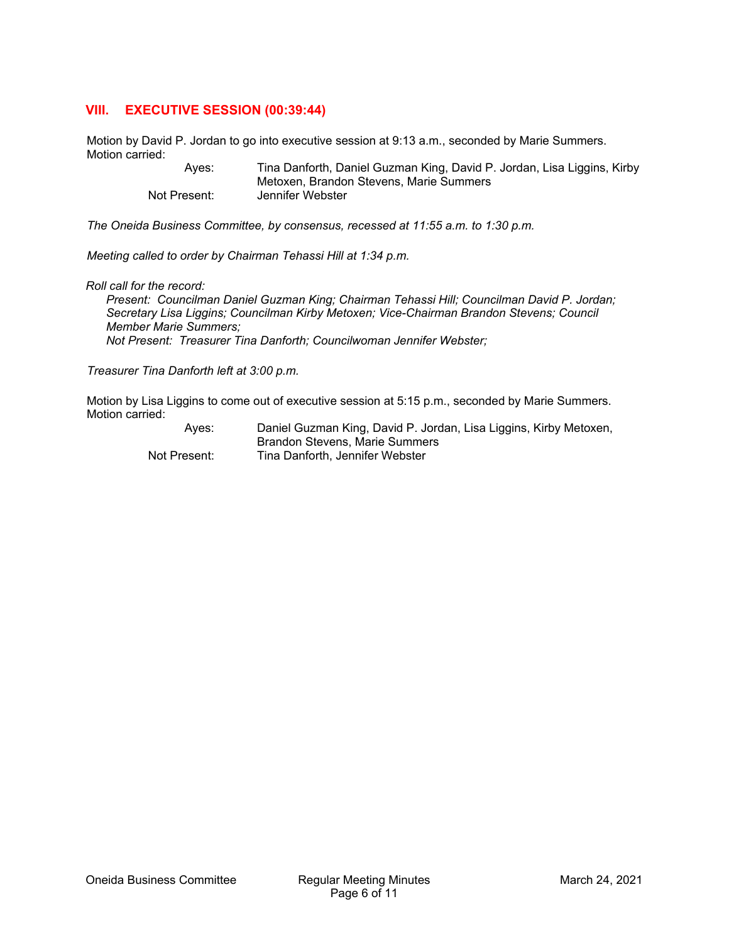# **VIII. EXECUTIVE SESSION (00:39:44)**

Motion by David P. Jordan to go into executive session at 9:13 a.m., seconded by Marie Summers. Motion carried:

 Ayes: Tina Danforth, Daniel Guzman King, David P. Jordan, Lisa Liggins, Kirby Metoxen, Brandon Stevens, Marie Summers Not Present: Jennifer Webster

*The Oneida Business Committee, by consensus, recessed at 11:55 a.m. to 1:30 p.m.* 

*Meeting called to order by Chairman Tehassi Hill at 1:34 p.m.* 

*Roll call for the record:* 

*Present: Councilman Daniel Guzman King; Chairman Tehassi Hill; Councilman David P. Jordan; Secretary Lisa Liggins; Councilman Kirby Metoxen; Vice-Chairman Brandon Stevens; Council Member Marie Summers; Not Present: Treasurer Tina Danforth; Councilwoman Jennifer Webster;* 

*Treasurer Tina Danforth left at 3:00 p.m.* 

Motion by Lisa Liggins to come out of executive session at 5:15 p.m., seconded by Marie Summers. Motion carried:

> Ayes: Daniel Guzman King, David P. Jordan, Lisa Liggins, Kirby Metoxen, Brandon Stevens, Marie Summers Not Present: Tina Danforth, Jennifer Webster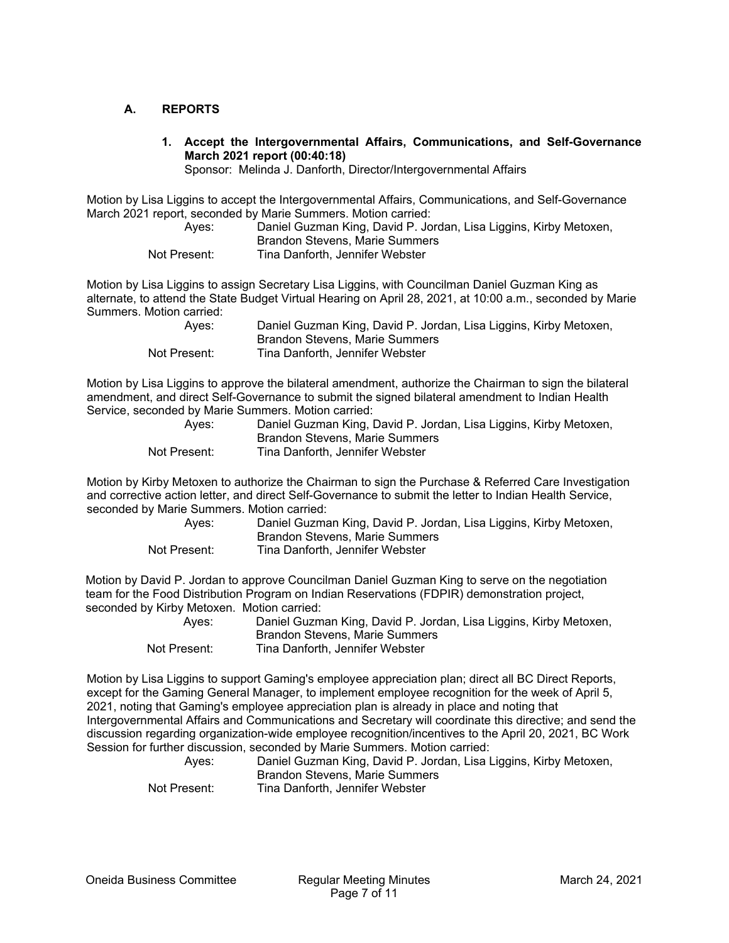## **A. REPORTS**

**1. Accept the Intergovernmental Affairs, Communications, and Self-Governance March 2021 report (00:40:18)** 

Sponsor: Melinda J. Danforth, Director/Intergovernmental Affairs

Motion by Lisa Liggins to accept the Intergovernmental Affairs, Communications, and Self-Governance March 2021 report, seconded by Marie Summers. Motion carried:

| Aves:        | Daniel Guzman King, David P. Jordan, Lisa Liggins, Kirby Metoxen, |
|--------------|-------------------------------------------------------------------|
|              | Brandon Stevens, Marie Summers                                    |
| Not Present: | Tina Danforth, Jennifer Webster                                   |

Motion by Lisa Liggins to assign Secretary Lisa Liggins, with Councilman Daniel Guzman King as alternate, to attend the State Budget Virtual Hearing on April 28, 2021, at 10:00 a.m., seconded by Marie Summers. Motion carried:

| Aves:        | Daniel Guzman King, David P. Jordan, Lisa Liggins, Kirby Metoxen, |
|--------------|-------------------------------------------------------------------|
|              | Brandon Stevens, Marie Summers                                    |
| Not Present: | Tina Danforth. Jennifer Webster                                   |

Motion by Lisa Liggins to approve the bilateral amendment, authorize the Chairman to sign the bilateral amendment, and direct Self-Governance to submit the signed bilateral amendment to Indian Health Service, seconded by Marie Summers. Motion carried:

| Ayes:        | Daniel Guzman King, David P. Jordan, Lisa Liggins, Kirby Metoxen, |
|--------------|-------------------------------------------------------------------|
|              | Brandon Stevens, Marie Summers                                    |
| Not Present: | Tina Danforth, Jennifer Webster                                   |

Motion by Kirby Metoxen to authorize the Chairman to sign the Purchase & Referred Care Investigation and corrective action letter, and direct Self-Governance to submit the letter to Indian Health Service, seconded by Marie Summers. Motion carried:

| Ayes:        | Daniel Guzman King, David P. Jordan, Lisa Liggins, Kirby Metoxen,<br>Brandon Stevens, Marie Summers |
|--------------|-----------------------------------------------------------------------------------------------------|
| Not Present: | Tina Danforth, Jennifer Webster                                                                     |

Motion by David P. Jordan to approve Councilman Daniel Guzman King to serve on the negotiation team for the Food Distribution Program on Indian Reservations (FDPIR) demonstration project, seconded by Kirby Metoxen. Motion carried:

| Aves:        | Daniel Guzman King, David P. Jordan, Lisa Liggins, Kirby Metoxen, |
|--------------|-------------------------------------------------------------------|
|              | Brandon Stevens, Marie Summers                                    |
| Not Present: | Tina Danforth, Jennifer Webster                                   |

Motion by Lisa Liggins to support Gaming's employee appreciation plan; direct all BC Direct Reports, except for the Gaming General Manager, to implement employee recognition for the week of April 5, 2021, noting that Gaming's employee appreciation plan is already in place and noting that Intergovernmental Affairs and Communications and Secretary will coordinate this directive; and send the discussion regarding organization-wide employee recognition/incentives to the April 20, 2021, BC Work Session for further discussion, seconded by Marie Summers. Motion carried:

| Ayes:        | Daniel Guzman King, David P. Jordan, Lisa Liggins, Kirby Metoxen, |
|--------------|-------------------------------------------------------------------|
|              | Brandon Stevens, Marie Summers                                    |
| Not Present: | Tina Danforth, Jennifer Webster                                   |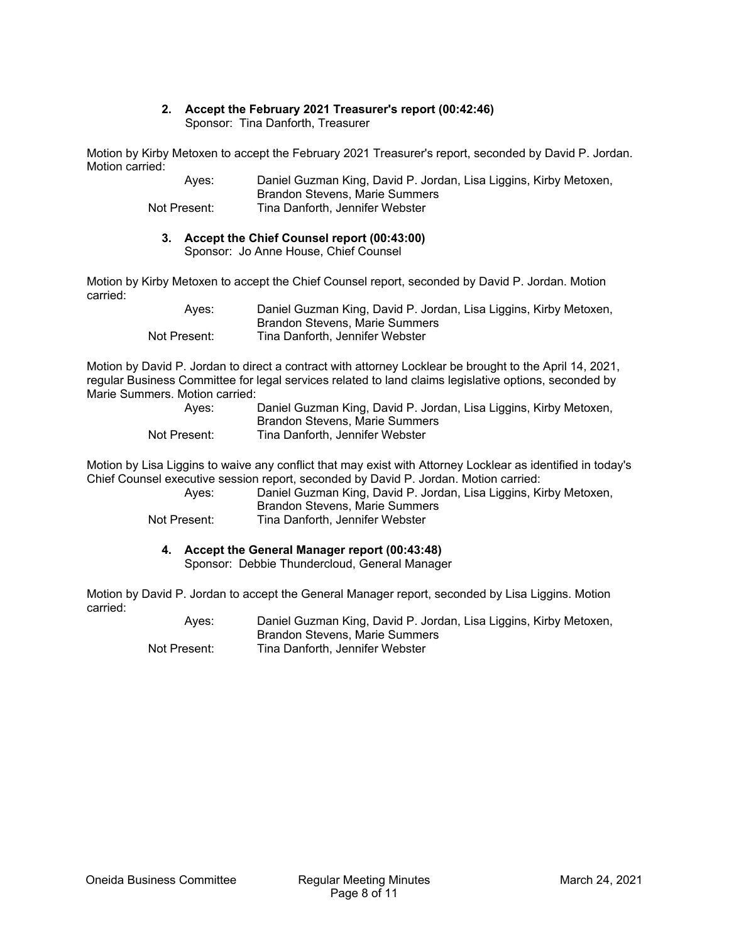#### **2. Accept the February 2021 Treasurer's report (00:42:46)**  Sponsor: Tina Danforth, Treasurer

Motion by Kirby Metoxen to accept the February 2021 Treasurer's report, seconded by David P. Jordan. Motion carried:

> Ayes: Daniel Guzman King, David P. Jordan, Lisa Liggins, Kirby Metoxen, Brandon Stevens, Marie Summers Not Present: Tina Danforth, Jennifer Webster

#### **3. Accept the Chief Counsel report (00:43:00)**  Sponsor: Jo Anne House, Chief Counsel

Motion by Kirby Metoxen to accept the Chief Counsel report, seconded by David P. Jordan. Motion carried:

| Aves:        | Daniel Guzman King, David P. Jordan, Lisa Liggins, Kirby Metoxen, |
|--------------|-------------------------------------------------------------------|
|              | Brandon Stevens, Marie Summers                                    |
| Not Present: | Tina Danforth, Jennifer Webster                                   |

Motion by David P. Jordan to direct a contract with attorney Locklear be brought to the April 14, 2021, regular Business Committee for legal services related to land claims legislative options, seconded by Marie Summers. Motion carried:

| Aves:        | Daniel Guzman King, David P. Jordan, Lisa Liggins, Kirby Metoxen, |
|--------------|-------------------------------------------------------------------|
|              | Brandon Stevens, Marie Summers                                    |
| Not Present: | Tina Danforth, Jennifer Webster                                   |

Motion by Lisa Liggins to waive any conflict that may exist with Attorney Locklear as identified in today's Chief Counsel executive session report, seconded by David P. Jordan. Motion carried:

Ayes: Daniel Guzman King, David P. Jordan, Lisa Liggins, Kirby Metoxen, Brandon Stevens, Marie Summers Not Present: Tina Danforth, Jennifer Webster

#### **4. Accept the General Manager report (00:43:48)**  Sponsor: Debbie Thundercloud, General Manager

Motion by David P. Jordan to accept the General Manager report, seconded by Lisa Liggins. Motion carried:

 Ayes: Daniel Guzman King, David P. Jordan, Lisa Liggins, Kirby Metoxen, Brandon Stevens, Marie Summers Not Present: Tina Danforth, Jennifer Webster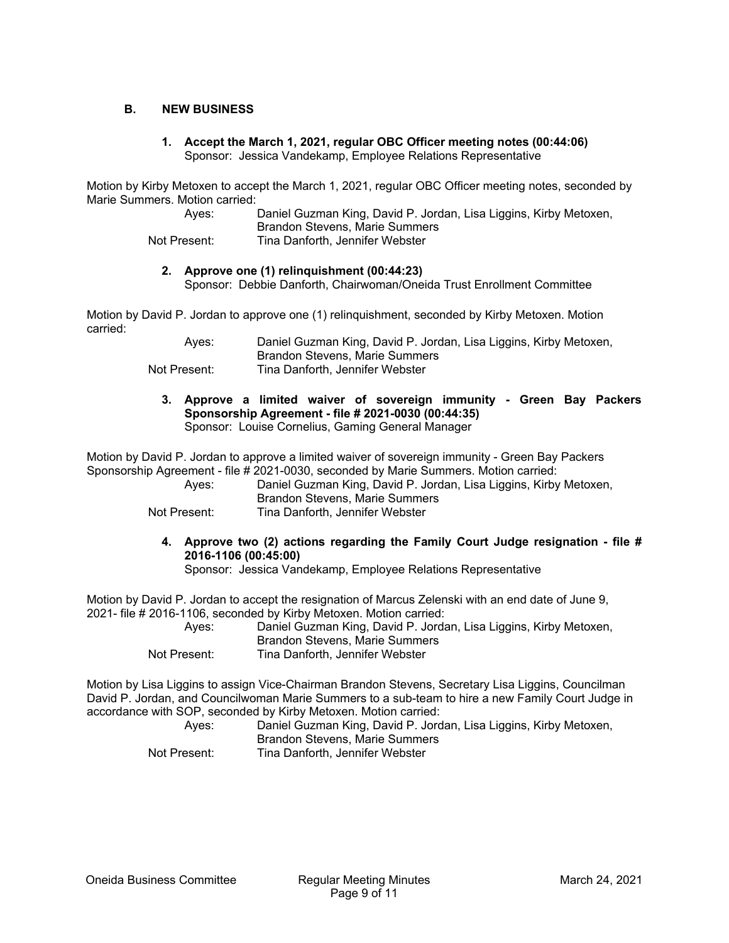## **B. NEW BUSINESS**

**1. Accept the March 1, 2021, regular OBC Officer meeting notes (00:44:06)**  Sponsor: Jessica Vandekamp, Employee Relations Representative

Motion by Kirby Metoxen to accept the March 1, 2021, regular OBC Officer meeting notes, seconded by Marie Summers. Motion carried:

| Ayes:        | Daniel Guzman King, David P. Jordan, Lisa Liggins, Kirby Metoxen, |
|--------------|-------------------------------------------------------------------|
|              | Brandon Stevens, Marie Summers                                    |
| Not Present: | Tina Danforth, Jennifer Webster                                   |

## **2. Approve one (1) relinquishment (00:44:23)**

Sponsor: Debbie Danforth, Chairwoman/Oneida Trust Enrollment Committee

Motion by David P. Jordan to approve one (1) relinquishment, seconded by Kirby Metoxen. Motion carried:

| Aves:        | Daniel Guzman King, David P. Jordan, Lisa Liggins, Kirby Metoxen, |
|--------------|-------------------------------------------------------------------|
|              | Brandon Stevens, Marie Summers                                    |
| Not Present: | Tina Danforth, Jennifer Webster                                   |

**3. Approve a limited waiver of sovereign immunity - Green Bay Packers Sponsorship Agreement - file # 2021-0030 (00:44:35)**  Sponsor: Louise Cornelius, Gaming General Manager

Motion by David P. Jordan to approve a limited waiver of sovereign immunity - Green Bay Packers Sponsorship Agreement - file # 2021-0030, seconded by Marie Summers. Motion carried:

Daniel Guzman King, David P. Jordan, Lisa Liggins, Kirby Metoxen, Brandon Stevens, Marie Summers

- Not Present: Tina Danforth, Jennifer Webster
	- **4. Approve two (2) actions regarding the Family Court Judge resignation file # 2016-1106 (00:45:00)**

Sponsor: Jessica Vandekamp, Employee Relations Representative

Motion by David P. Jordan to accept the resignation of Marcus Zelenski with an end date of June 9, 2021- file # 2016-1106, seconded by Kirby Metoxen. Motion carried:

| Aves:        | Daniel Guzman King, David P. Jordan, Lisa Liggins, Kirby Metoxen, |
|--------------|-------------------------------------------------------------------|
|              | Brandon Stevens, Marie Summers                                    |
| Not Present: | Tina Danforth, Jennifer Webster                                   |

Motion by Lisa Liggins to assign Vice-Chairman Brandon Stevens, Secretary Lisa Liggins, Councilman David P. Jordan, and Councilwoman Marie Summers to a sub-team to hire a new Family Court Judge in accordance with SOP, seconded by Kirby Metoxen. Motion carried:

| Ayes:        | Daniel Guzman King, David P. Jordan, Lisa Liggins, Kirby Metoxen, |
|--------------|-------------------------------------------------------------------|
|              | Brandon Stevens, Marie Summers                                    |
| Not Present: | Tina Danforth, Jennifer Webster                                   |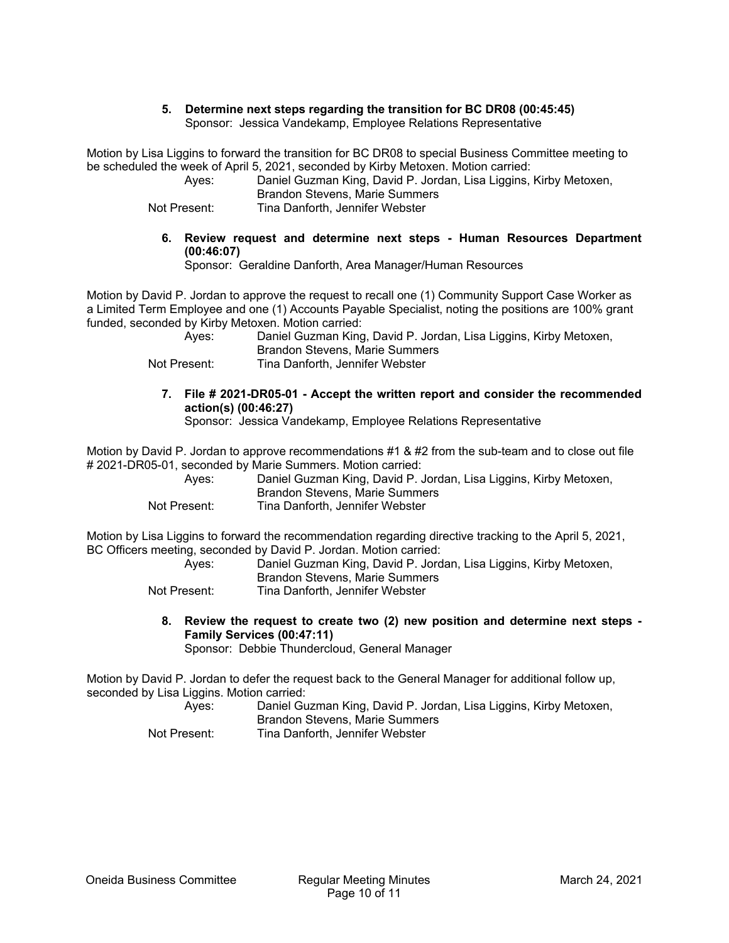#### **5. Determine next steps regarding the transition for BC DR08 (00:45:45)**  Sponsor: Jessica Vandekamp, Employee Relations Representative

Motion by Lisa Liggins to forward the transition for BC DR08 to special Business Committee meeting to be scheduled the week of April 5, 2021, seconded by Kirby Metoxen. Motion carried:

 Ayes: Daniel Guzman King, David P. Jordan, Lisa Liggins, Kirby Metoxen, Brandon Stevens, Marie Summers Not Present: Tina Danforth, Jennifer Webster

**6. Review request and determine next steps - Human Resources Department (00:46:07)** 

Sponsor: Geraldine Danforth, Area Manager/Human Resources

Motion by David P. Jordan to approve the request to recall one (1) Community Support Case Worker as a Limited Term Employee and one (1) Accounts Payable Specialist, noting the positions are 100% grant funded, seconded by Kirby Metoxen. Motion carried:

| Aves:        | Daniel Guzman King, David P. Jordan, Lisa Liggins, Kirby Metoxen, |
|--------------|-------------------------------------------------------------------|
|              | Brandon Stevens, Marie Summers                                    |
| Not Present: | Tina Danforth, Jennifer Webster                                   |

**7. File # 2021-DR05-01 - Accept the written report and consider the recommended action(s) (00:46:27)** 

Sponsor: Jessica Vandekamp, Employee Relations Representative

Motion by David P. Jordan to approve recommendations #1 & #2 from the sub-team and to close out file # 2021-DR05-01, seconded by Marie Summers. Motion carried:

| Aves:        | Daniel Guzman King, David P. Jordan, Lisa Liggins, Kirby Metoxen, |
|--------------|-------------------------------------------------------------------|
|              | Brandon Stevens, Marie Summers                                    |
| Not Present: | Tina Danforth, Jennifer Webster                                   |

Motion by Lisa Liggins to forward the recommendation regarding directive tracking to the April 5, 2021, BC Officers meeting, seconded by David P. Jordan. Motion carried:

 Ayes: Daniel Guzman King, David P. Jordan, Lisa Liggins, Kirby Metoxen, Brandon Stevens, Marie Summers Not Present: Tina Danforth, Jennifer Webster

**8. Review the request to create two (2) new position and determine next steps - Family Services (00:47:11)** 

Sponsor: Debbie Thundercloud, General Manager

Motion by David P. Jordan to defer the request back to the General Manager for additional follow up, seconded by Lisa Liggins. Motion carried:

| Aves:        | Daniel Guzman King, David P. Jordan, Lisa Liggins, Kirby Metoxen,<br>Brandon Stevens, Marie Summers |
|--------------|-----------------------------------------------------------------------------------------------------|
| Not Present: | Tina Danforth, Jennifer Webster                                                                     |